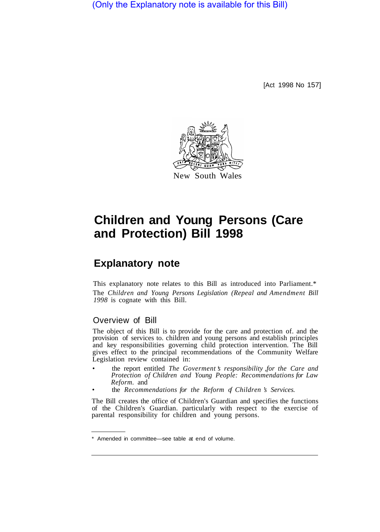(Only the Explanatory note is available for this Bill)

[Act 1998 No 157]



# **Children and Young Persons (Care and Protection) Bill 1998**

# **Explanatory note**

This explanatory note relates to this Bill as introduced into Parliament.\* The *Children and Young Persons Legislation (Repeal and Amendment Bill 1998* is cognate with this Bill.

# Overview of Bill

The object of this Bill is to provide for the care and protection of. and the provision of services to. children and young persons and establish principles and key responsibilities governing child protection intervention. The Bill gives effect to the principal recommendations of the Community Welfare Legislation review contained in:

- the report entitled *The Goverment 's responsibility ,for the Care and Protection of Children and Young People: Recommendations for Law Reform.* and
- the *Recommendations for the Reform of Children 's Services.*

The Bill creates the office of Children's Guardian and specifies the functions of the Children's Guardian. particularly with respect to the exercise of parental responsibility for children and young persons.

<sup>\*</sup> Amended in committee—see table at end of volume.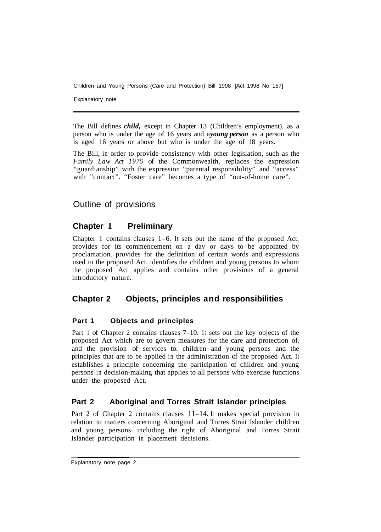Explanatory note

The Bill defines *child,* except in Chapter 13 (Children's employment), as a person who is under the age of 16 years and a *young person* as a person who is aged 16 years or above but who is under the age of 18 years.

The Bill, in order to provide consistency with other legislation, such as the *Family Law Act 1975* of the Commonwealth, replaces the expression "guardianship" with the expression "parental responsibility" and "access" with "contact". "Foster care" becomes a type of "out-of-home care".

# Outline of provisions

# **Chapter 1 Preliminary**

Chapter 1 contains clauses 1–6. It sets out the name of the proposed Act. provides for its commencement on a day or days to be appointed by proclamation. provides for the definition of certain words and expressions used in the proposed Act. identifies the children and young persons to whom the proposed Act applies and contains other provisions of a general introductory nature.

# **Chapter 2 Objects, principles and responsibilities**

#### **Part 1 Objects and principles**

Part 1 of Chapter 2 contains clauses 7–10. It sets out the key objects of the proposed Act which are to govern measures for the care and protection of. and the provision of services to. children and young persons and the principles that are to be applied in the administration of the proposed Act. It establishes a principle concerning the participation of children and young persons in decision-making that applies to all persons who exercise functions under the proposed Act.

# **Part 2 Aboriginal and Torres Strait Islander principles**

Part 2 of Chapter 2 contains clauses 11–14. It makes special provision in relation to matters concerning Aboriginal and Torres Strait Islander children and young persons. including the right of Aboriginal and Torres Strait Islander participation in placement decisions.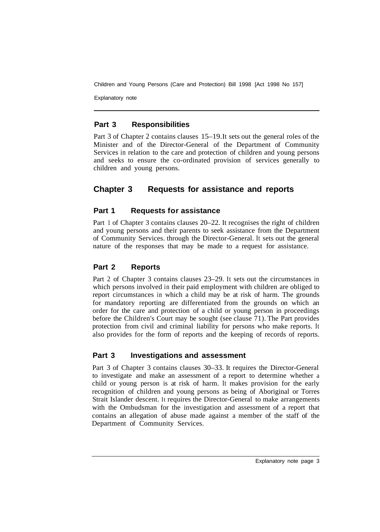Explanatory note

# **Part 3 Responsibilities**

Part 3 of Chapter 2 contains clauses 15–19. It sets out the general roles of the Minister and of the Director-General of the Department of Community Services in relation to the care and protection of children and young persons and seeks to ensure the co-ordinated provision of services generally to children and young persons.

# **Chapter 3 Requests for assistance and reports**

# **Part 1 Requests for assistance**

Part 1 of Chapter 3 contains clauses 20–22. It recognises the right of children and young persons and their parents to seek assistance from the Department of Community Services. through the Director-General. It sets out the general nature of the responses that may be made to a request for assistance.

# **Part 2 Reports**

Part 2 of Chapter 3 contains clauses 23–29. It sets out the circumstances in which persons involved in their paid employment with children are obliged to report circumstances in which a child may be at risk of harm. The grounds for mandatory reporting are differentiated from the grounds on which an order for the care and protection of a child or young person in proceedings before the Children's Court may be sought (see clause 71). The Part provides protection from civil and criminal liability for persons who make reports. It also provides for the form of reports and the keeping of records of reports.

# **Part 3 Investigations and assessment**

Part 3 of Chapter 3 contains clauses 30–33. It requires the Director-General to investigate and make an assessment of a report to determine whether a child or young person is at risk of harm. It makes provision for the early recognition of children and young persons as being of Aboriginal or Torres Strait Islander descent. It requires the Director-General to make arrangements with the Ombudsman for the investigation and assessment of a report that contains an allegation of abuse made against a member of the staff of the Department of Community Services.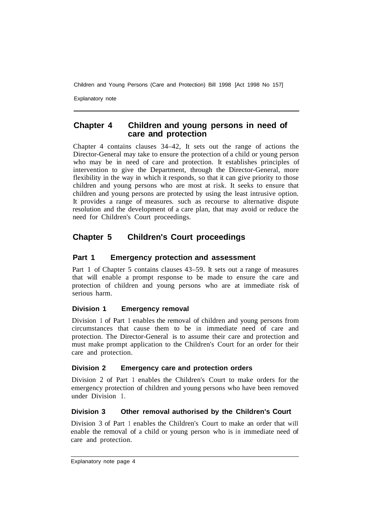Explanatory note

### **Chapter 4 Children and young persons in need of care and protection**

Chapter 4 contains clauses 34–42, It sets out the range of actions the Director-General may take to ensure the protection of a child or young person who may be in need of care and protection. It establishes principles of intervention to give the Department, through the Director-General, more flexibility in the way in which it responds, so that it can give priority to those children and young persons who are most at risk. It seeks to ensure that children and young persons are protected by using the least intrusive option. It provides a range of measures. such as recourse to alternative dispute resolution and the development of a care plan, that may avoid or reduce the need for Children's Court proceedings.

# **Chapter 5 Children's Court proceedings**

### **Part 1 Emergency protection and assessment**

Part 1 of Chapter 5 contains clauses 43–59. It sets out a range of measures that will enable a prompt response to be made to ensure the care and protection of children and young persons who are at immediate risk of serious harm.

#### **Division 1 Emergency removal**

Division 1 of Part 1 enables the removal of children and young persons from circumstances that cause them to be in immediate need of care and protection. The Director-General is to assume their care and protection and must make prompt application to the Children's Court for an order for their care and protection.

#### **Division 2 Emergency care and protection orders**

Division 2 of Part 1 enables the Children's Court to make orders for the emergency protection of children and young persons who have been removed under Division 1.

#### **Division 3 Other removal authorised by the Children's Court**

Division 3 of Part 1 enables the Children's Court to make an order that will enable the removal of a child or young person who is in immediate need of care and protection.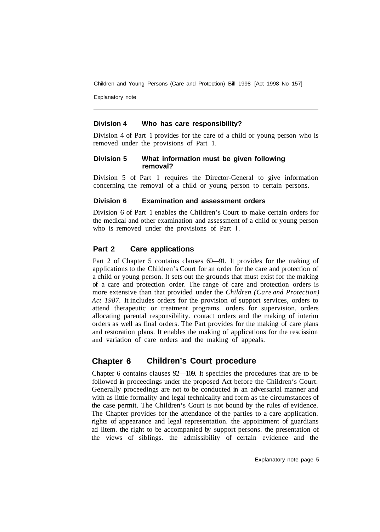Explanatory note

### **Division 4 Who has care responsibility?**

Division 4 of Part 1 provides for the care of a child or young person who is removed under the provisions of Part 1.

#### **Division 5 What information must be given following removal?**

Division 5 of Part 1 requires the Director-General to give information concerning the removal of a child or young person to certain persons.

#### **Division 6 Examination and assessment orders**

Division 6 of Part 1 enables the Children's Court to make certain orders for the medical and other examination and assessment of a child or young person who is removed under the provisions of Part l.

# **Part 2 Care applications**

Part 2 of Chapter 5 contains clauses 60—91. It provides for the making of applications to the Children's Court for an order for the care and protection of a child or young person. It sets out the grounds that must exist for the making of a care and protection order. The range of care and protection orders is more extensive than that provided under the *Children (Care and Protection) Act 1987.* It includes orders for the provision of support services, orders to attend therapeutic or treatment programs. orders for supervision. orders allocating parental responsibility. contact orders and the making of interim orders as well as final orders. The Part provides for the making of care plans and restoration plans. It enables the making of applications for the rescission and variation of care orders and the making of appeals.

# **Chapter 6 Children's Court procedure**

Chapter 6 contains clauses 92—109. It specifies the procedures that are to be followed in proceedings under the proposed Act before the Children's Court. Generally proceedings are not to be conducted in an adversarial manner and with as little formality and legal technicality and form as the circumstances of the case permit. The Children's Court is not bound by the rules of evidence. The Chapter provides for the attendance of the parties to a care application. rights of appearance and legal representation. the appointment of guardians ad litem. the right to be accompanied by support persons. the presentation of the views of siblings. the admissibility of certain evidence and the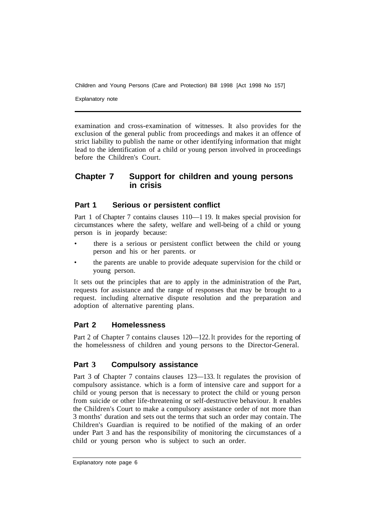Explanatory note

examination and cross-examination of witnesses. It also provides for the exclusion of the general public from proceedings and makes it an offence of strict liability to publish the name or other identifying information that might lead to the identification of a child or young person involved in proceedings before the Children's Court.

# **Chapter 7 Support for children and young persons in crisis**

### **Part 1 Serious or persistent conflict**

Part 1 of Chapter 7 contains clauses 110—1 19. It makes special provision for circumstances where the safety, welfare and well-being of a child or young person is in jeopardy because:

- there is a serious or persistent conflict between the child or young person and his or her parents. or
- the parents are unable to provide adequate supervision for the child or young person.

It sets out the principles that are to apply in the administration of the Part, requests for assistance and the range of responses that may be brought to a request. including alternative dispute resolution and the preparation and adoption of alternative parenting plans.

# **Part 2 Homelessness**

Part 2 of Chapter 7 contains clauses 120—122. It provides for the reporting of the homelessness of children and young persons to the Director-General.

# **Part 3 Compulsory assistance**

Part 3 of Chapter 7 contains clauses 123—133. It regulates the provision of compulsory assistance. which is a form of intensive care and support for a child or young person that is necessary to protect the child or young person from suicide or other life-threatening or self-destructive behaviour. It enables the Children's Court to make a compulsory assistance order of not more than 3 months' duration and sets out the terms that such an order may contain. The Children's Guardian is required to be notified of the making of an order under Part 3 and has the responsibility of monitoring the circumstances of a child or young person who is subject to such an order.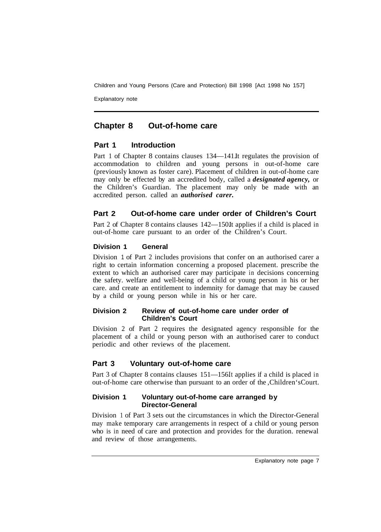Explanatory note

# **Chapter 8 Out-of-home care**

#### **Part 1 Introduction**

Part 1 of Chapter 8 contains clauses 134—141. It regulates the provision of accommodation to children and young persons in out-of-home care (previously known as foster care). Placement of children in out-of-home care may only be effected by an accredited body, called a *designated agency,* or the Children's Guardian. The placement may only be made with an accredited person. called an *authorised carer.* 

# **Part 2 Out-of-home care under order of Children's Court**

Part 2 of Chapter 8 contains clauses 142—150It applies if a child is placed in out-of-home care pursuant to an order of the Children's Court.

#### **Division 1 General**

Division 1 of Part 2 includes provisions that confer on an authorised carer a right to certain information concerning a proposed placement. prescribe the extent to which an authorised carer may participate in decisions concerning the safety. welfare and well-being of a child or young person in his or her care. and create an entitlement to indemnity for damage that may be caused by a child or young person while in his or her care.

#### **Division 2 Review of out-of-home care under order of Children's Court**

Division 2 of Part 2 requires the designated agency responsible for the placement of a child or young person with an authorised carer to conduct periodic and other reviews of the placement.

# **Part 3 Voluntary out-of-home care**

Part 3 of Chapter 8 contains clauses 151—156It applies if a child is placed in out-of-home care otherwise than pursuant to an order of the ,Children's Court.

#### **Division 1 Voluntary out-of-home care arranged by Director-General**

Division 1 of Part 3 sets out the circumstances in which the Director-General may make temporary care arrangements in respect of a child or young person who is in need of care and protection and provides for the duration. renewal and review of those arrangements.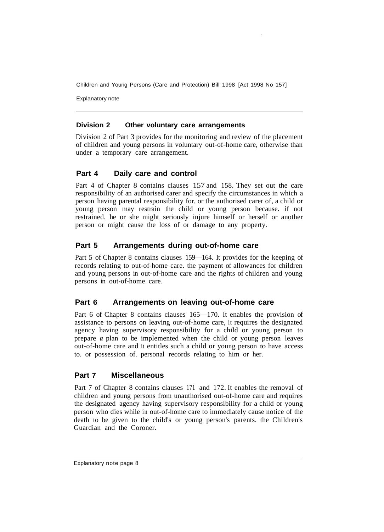Explanatory note

#### **Division 2 Other voluntary care arrangements**

Division 2 of Part 3 provides for the monitoring and review of the placement of children and young persons in voluntary out-of-home care, otherwise than under a temporary care arrangement.

### **Part 4 Daily care and control**

Part 4 of Chapter 8 contains clauses 157 and 158. They set out the care responsibility of an authorised carer and specify the circumstances in which a person having parental responsibility for, or the authorised carer of, a child or young person may restrain the child or young person because. if not restrained. he or she might seriously injure himself or herself or another person or might cause the loss of or damage to any property.

### **Part 5 Arrangements during out-of-home care**

Part 5 of Chapter 8 contains clauses 159—164. It provides for the keeping of records relating to out-of-home care. the payment of allowances for children and young persons in out-of-home care and the rights of children and young persons in out-of-home care.

# **Part 6 Arrangements on leaving out-of-home care**

Part 6 of Chapter 8 contains clauses 165—170. It enables the provision of assistance to persons on leaving out-of-home care, it requires the designated agency having supervisory responsibility for a child or young person to prepare *a* plan to be implemented when the child or young person leaves out-of-home care and it entitles such a child or young person to have access to. or possession of. personal records relating to him or her.

#### **Part 7 Miscellaneous**

Part 7 of Chapter 8 contains clauses 171 and 172. It enables the removal of children and young persons from unauthorised out-of-home care and requires the designated agency having supervisory responsibility for a child or young person who dies while in out-of-home care to immediately cause notice of the death to be given to the child's or young person's parents. the Children's Guardian and the Coroner.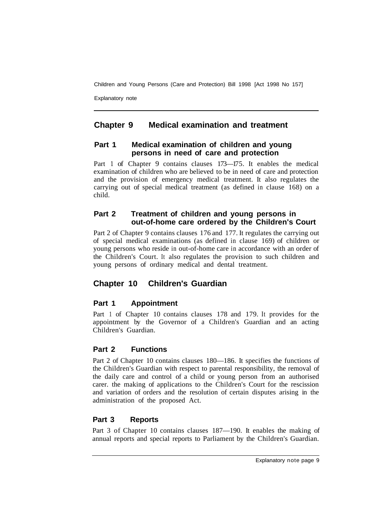Explanatory note

# **Chapter 9 Medical examination and treatment**

#### **Part 1 Medical examination of children and young persons in need of care and protection**

Part 1 of Chapter 9 contains clauses 173-175. It enables the medical examination of children who are believed to be in need of care and protection and the provision of emergency medical treatment. It also regulates the carrying out of special medical treatment (as defined in clause 168) on a child.

# **Part 2 Treatment of children and young persons in out-of-home care ordered by the Children's Court**

Part 2 of Chapter 9 contains clauses 176 and 177. It regulates the carrying out of special medical examinations (as defined in clause 169) of children or young persons who reside in out-of-home care in accordance with an order of the Children's Court. It also regulates the provision to such children and young persons of ordinary medical and dental treatment.

# **Chapter 10 Children's Guardian**

# **Part 1 Appointment**

Part 1 of Chapter 10 contains clauses 178 and 179. It provides for the appointment by the Governor of a Children's Guardian and an acting Children's Guardian.

# **Part 2 Functions**

Part 2 of Chapter 10 contains clauses 180—186. It specifies the functions of the Children's Guardian with respect to parental responsibility, the removal of the daily care and control of a child or young person from an authorised carer. the making of applications to the Children's Court for the rescission and variation of orders and the resolution of certain disputes arising in the administration of the proposed Act.

# **Part 3 Reports**

Part 3 of Chapter 10 contains clauses 187—190. It enables the making of annual reports and special reports to Parliament by the Children's Guardian.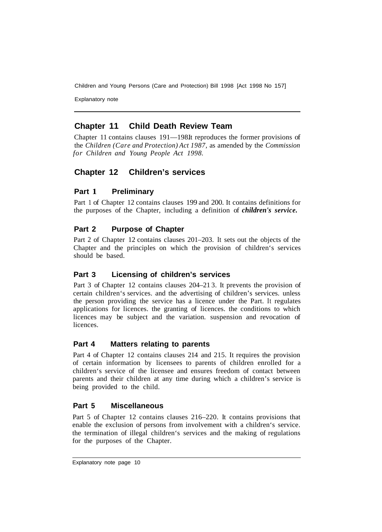Explanatory note

# **Chapter 11 Child Death Review Team**

Chapter 11 contains clauses 191—198It reproduces the former provisions of the *Children (Care and Protection) Act 1987,* as amended by the *Commission for Children and Young People Act 1998.* 

# **Chapter 12 Children's services**

# **Part 1 Preliminary**

Part 1 of Chapter 12 contains clauses 199 and 200. It contains definitions for the purposes of the Chapter, including a definition of *children's service.* 

# **Part 2 Purpose of Chapter**

Part 2 of Chapter 12 contains clauses 201–203. It sets out the objects of the Chapter and the principles on which the provision of children's services should be based.

# **Part 3 Licensing of children's services**

Part 3 of Chapter 12 contains clauses 204–21 3. It prevents the provision of certain children's services. and the advertising of children's services. unless the person providing the service has a licence under the Part. It regulates applications for licences. the granting of licences. the conditions to which licences may be subject and the variation. suspension and revocation of **licences** 

# **Part 4 Matters relating to parents**

Part 4 of Chapter 12 contains clauses 214 and 215. It requires the provision of certain information by licensees to parents of children enrolled for a children's service of the licensee and ensures freedom of contact between parents and their children at any time during which a children's service is being provided to the child.

# **Part 5 Miscellaneous**

Part 5 of Chapter 12 contains clauses 216–220. It contains provisions that enable the exclusion of persons from involvement with a children's service. the termination of illegal children's services and the making of regulations for the purposes of the Chapter.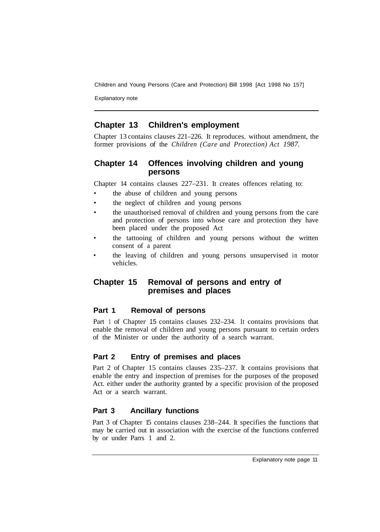Explanatory note

# **Chapter 13 Children's employment**

Chapter 13 contains clauses 221–226. It reproduces. without amendment, the former provisions of the *Children (Care and Protection) Act 1987.* 

# **Chapter 14 Offences involving children and young persons**

Chapter 14 contains clauses 227–231. It creates offences relating to:

- the abuse of children and young persons
- the neglect of children and young persons
- the unauthorised removal of children and young persons from the care and protection of persons into whose care and protection they have been placed under the proposed Act
- the tattooing of children and young persons without the written consent of a parent
- the leaving of children and young persons unsupervised in motor vehicles.

# **Chapter 15 Removal of persons and entry of premises and places**

# **Part 1 Removal of persons**

Part 1 of Chapter 15 contains clauses 232–234. It contains provisions that enable the removal of children and young persons pursuant to certain orders of the Minister or under the authority of a search warrant.

# **Part 2 Entry of premises and places**

Part 2 of Chapter 15 contains clauses 235–237. It contains provisions that enable the entry and inspection of premises for the purposes of the proposed Act. either under the authority granted by a specific provision of the proposed Act or a search warrant.

# **Part 3 Ancillary functions**

Part 3 of Chapter 15 contains clauses 238–244. It specifies the functions that may be carried out in association with the exercise of the functions conferred by or under Parrs 1 and 2.